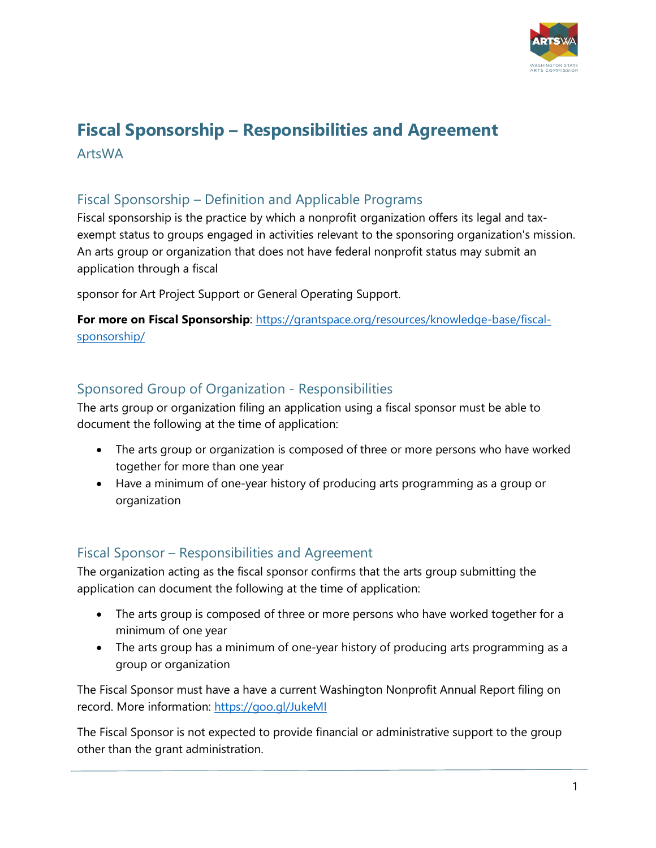

# **Fiscal Sponsorship – Responsibilities and Agreement** ArtsWA

# Fiscal Sponsorship – Definition and Applicable Programs

Fiscal sponsorship is the practice by which a nonprofit organization offers its legal and taxexempt status to groups engaged in activities relevant to the sponsoring organization's mission. An arts group or organization that does not have federal nonprofit status may submit an application through a fiscal

sponsor for Art Project Support or General Operating Support.

For more on Fiscal Sponsorship: [https://grantspace.org/resources/knowledge-base/fiscal](https://grantspace.org/resources/knowledge-base/fiscal-sponsorship/)[sponsorship/](https://grantspace.org/resources/knowledge-base/fiscal-sponsorship/)

## Sponsored Group of Organization - Responsibilities

The arts group or organization filing an application using a fiscal sponsor must be able to document the following at the time of application:

- The arts group or organization is composed of three or more persons who have worked together for more than one year
- Have a minimum of one-year history of producing arts programming as a group or organization

### Fiscal Sponsor – Responsibilities and Agreement

The organization acting as the fiscal sponsor confirms that the arts group submitting the application can document the following at the time of application:

- The arts group is composed of three or more persons who have worked together for a minimum of one year
- The arts group has a minimum of one-year history of producing arts programming as a group or organization

The Fiscal Sponsor must have a have a current Washington Nonprofit Annual Report filing on record. More information:<https://goo.gl/JukeMI>

The Fiscal Sponsor is not expected to provide financial or administrative support to the group other than the grant administration.